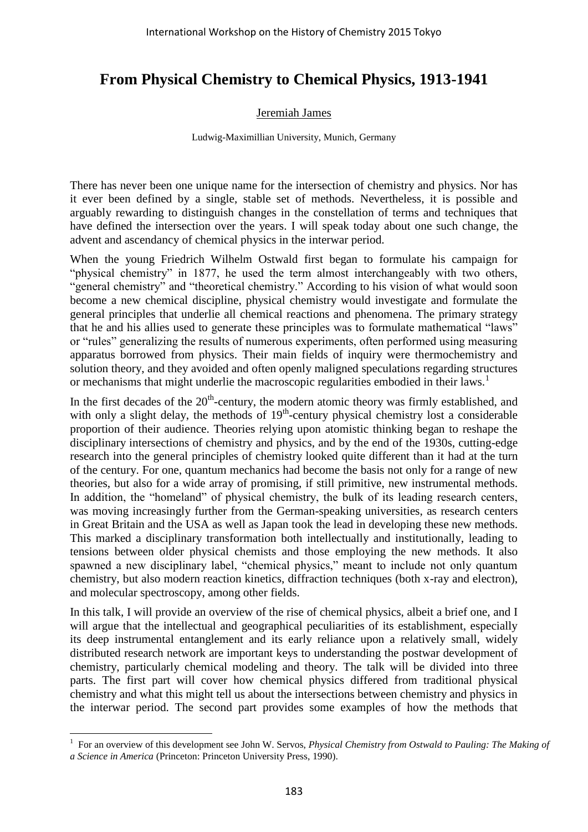## **From Physical Chemistry to Chemical Physics, 1913-1941**

## Jeremiah James

## Ludwig-Maximillian University, Munich, Germany

There has never been one unique name for the intersection of chemistry and physics. Nor has it ever been defined by a single, stable set of methods. Nevertheless, it is possible and arguably rewarding to distinguish changes in the constellation of terms and techniques that have defined the intersection over the years. I will speak today about one such change, the advent and ascendancy of chemical physics in the interwar period.

When the young Friedrich Wilhelm Ostwald first began to formulate his campaign for "physical chemistry" in 1877, he used the term almost interchangeably with two others, "general chemistry" and "theoretical chemistry." According to his vision of what would soon become a new chemical discipline, physical chemistry would investigate and formulate the general principles that underlie all chemical reactions and phenomena. The primary strategy that he and his allies used to generate these principles was to formulate mathematical "laws" or "rules" generalizing the results of numerous experiments, often performed using measuring apparatus borrowed from physics. Their main fields of inquiry were thermochemistry and solution theory, and they avoided and often openly maligned speculations regarding structures or mechanisms that might underlie the macroscopic regularities embodied in their laws.<sup>1</sup>

In the first decades of the  $20<sup>th</sup>$ -century, the modern atomic theory was firmly established, and with only a slight delay, the methods of  $19<sup>th</sup>$ -century physical chemistry lost a considerable proportion of their audience. Theories relying upon atomistic thinking began to reshape the disciplinary intersections of chemistry and physics, and by the end of the 1930s, cutting-edge research into the general principles of chemistry looked quite different than it had at the turn of the century. For one, quantum mechanics had become the basis not only for a range of new theories, but also for a wide array of promising, if still primitive, new instrumental methods. In addition, the "homeland" of physical chemistry, the bulk of its leading research centers, was moving increasingly further from the German-speaking universities, as research centers in Great Britain and the USA as well as Japan took the lead in developing these new methods. This marked a disciplinary transformation both intellectually and institutionally, leading to tensions between older physical chemists and those employing the new methods. It also spawned a new disciplinary label, "chemical physics," meant to include not only quantum chemistry, but also modern reaction kinetics, diffraction techniques (both x-ray and electron), and molecular spectroscopy, among other fields.

In this talk, I will provide an overview of the rise of chemical physics, albeit a brief one, and I will argue that the intellectual and geographical peculiarities of its establishment, especially its deep instrumental entanglement and its early reliance upon a relatively small, widely distributed research network are important keys to understanding the postwar development of chemistry, particularly chemical modeling and theory. The talk will be divided into three parts. The first part will cover how chemical physics differed from traditional physical chemistry and what this might tell us about the intersections between chemistry and physics in the interwar period. The second part provides some examples of how the methods that

 $\overline{a}$ <sup>1</sup> For an overview of this development see John W. Servos, *Physical Chemistry from Ostwald to Pauling: The Making of a Science in America* (Princeton: Princeton University Press, 1990).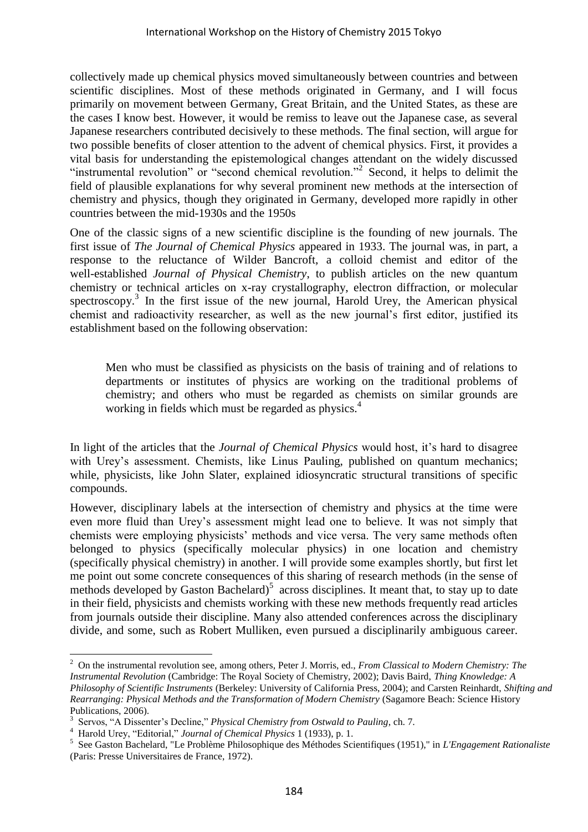collectively made up chemical physics moved simultaneously between countries and between scientific disciplines. Most of these methods originated in Germany, and I will focus primarily on movement between Germany, Great Britain, and the United States, as these are the cases I know best. However, it would be remiss to leave out the Japanese case, as several Japanese researchers contributed decisively to these methods. The final section, will argue for two possible benefits of closer attention to the advent of chemical physics. First, it provides a vital basis for understanding the epistemological changes attendant on the widely discussed "instrumental revolution" or "second chemical revolution."<sup>2</sup> Second, it helps to delimit the field of plausible explanations for why several prominent new methods at the intersection of chemistry and physics, though they originated in Germany, developed more rapidly in other countries between the mid-1930s and the 1950s

One of the classic signs of a new scientific discipline is the founding of new journals. The first issue of *The Journal of Chemical Physics* appeared in 1933. The journal was, in part, a response to the reluctance of Wilder Bancroft, a colloid chemist and editor of the well-established *Journal of Physical Chemistry*, to publish articles on the new quantum chemistry or technical articles on x-ray crystallography, electron diffraction, or molecular spectroscopy.<sup>3</sup> In the first issue of the new journal, Harold Urey, the American physical chemist and radioactivity researcher, as well as the new journal's first editor, justified its establishment based on the following observation:

Men who must be classified as physicists on the basis of training and of relations to departments or institutes of physics are working on the traditional problems of chemistry; and others who must be regarded as chemists on similar grounds are working in fields which must be regarded as physics.<sup>4</sup>

In light of the articles that the *Journal of Chemical Physics* would host, it's hard to disagree with Urey's assessment. Chemists, like Linus Pauling, published on quantum mechanics; while, physicists, like John Slater, explained idiosyncratic structural transitions of specific compounds.

However, disciplinary labels at the intersection of chemistry and physics at the time were even more fluid than Urey's assessment might lead one to believe. It was not simply that chemists were employing physicists' methods and vice versa. The very same methods often belonged to physics (specifically molecular physics) in one location and chemistry (specifically physical chemistry) in another. I will provide some examples shortly, but first let me point out some concrete consequences of this sharing of research methods (in the sense of methods developed by Gaston Bachelard)<sup>5</sup> across disciplines. It meant that, to stay up to date in their field, physicists and chemists working with these new methods frequently read articles from journals outside their discipline. Many also attended conferences across the disciplinary divide, and some, such as Robert Mulliken, even pursued a disciplinarily ambiguous career.

<sup>2</sup> On the instrumental revolution see, among others, Peter J. Morris, ed., *From Classical to Modern Chemistry: The Instrumental Revolution* (Cambridge: The Royal Society of Chemistry, 2002); Davis Baird, *Thing Knowledge: A Philosophy of Scientific Instruments* (Berkeley: University of California Press, 2004); and Carsten Reinhardt, *Shifting and Rearranging: Physical Methods and the Transformation of Modern Chemistry* (Sagamore Beach: Science History Publications, 2006).

<sup>3</sup> Servos, "A Dissenter's Decline," *Physical Chemistry from Ostwald to Pauling*, ch. 7.

<sup>4</sup> Harold Urey, "Editorial," *Journal of Chemical Physics* 1 (1933), p. 1.

<sup>5</sup> See Gaston Bachelard, "Le Problème Philosophique des Méthodes Scientifiques (1951)," in *L'Engagement Rationaliste* (Paris: Presse Universitaires de France, 1972).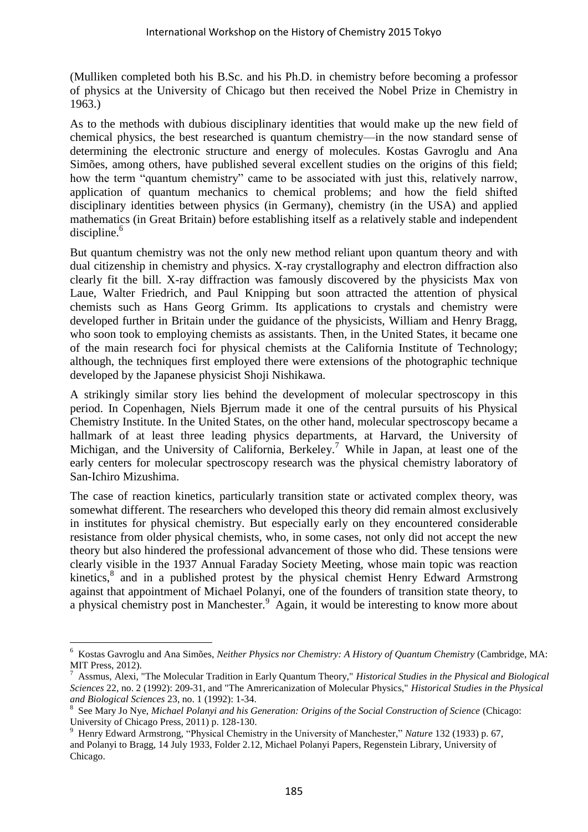(Mulliken completed both his B.Sc. and his Ph.D. in chemistry before becoming a professor of physics at the University of Chicago but then received the Nobel Prize in Chemistry in 1963.)

As to the methods with dubious disciplinary identities that would make up the new field of chemical physics, the best researched is quantum chemistry—in the now standard sense of determining the electronic structure and energy of molecules. Kostas Gavroglu and Ana Simões, among others, have published several excellent studies on the origins of this field; how the term "quantum chemistry" came to be associated with just this, relatively narrow, application of quantum mechanics to chemical problems; and how the field shifted disciplinary identities between physics (in Germany), chemistry (in the USA) and applied mathematics (in Great Britain) before establishing itself as a relatively stable and independent discipline.<sup>6</sup>

But quantum chemistry was not the only new method reliant upon quantum theory and with dual citizenship in chemistry and physics. X-ray crystallography and electron diffraction also clearly fit the bill. X-ray diffraction was famously discovered by the physicists Max von Laue, Walter Friedrich, and Paul Knipping but soon attracted the attention of physical chemists such as Hans Georg Grimm. Its applications to crystals and chemistry were developed further in Britain under the guidance of the physicists, William and Henry Bragg, who soon took to employing chemists as assistants. Then, in the United States, it became one of the main research foci for physical chemists at the California Institute of Technology; although, the techniques first employed there were extensions of the photographic technique developed by the Japanese physicist Shoji Nishikawa.

A strikingly similar story lies behind the development of molecular spectroscopy in this period. In Copenhagen, Niels Bjerrum made it one of the central pursuits of his Physical Chemistry Institute. In the United States, on the other hand, molecular spectroscopy became a hallmark of at least three leading physics departments, at Harvard, the University of Michigan, and the University of California, Berkeley.<sup>7</sup> While in Japan, at least one of the early centers for molecular spectroscopy research was the physical chemistry laboratory of San-Ichiro Mizushima.

The case of reaction kinetics, particularly transition state or activated complex theory, was somewhat different. The researchers who developed this theory did remain almost exclusively in institutes for physical chemistry. But especially early on they encountered considerable resistance from older physical chemists, who, in some cases, not only did not accept the new theory but also hindered the professional advancement of those who did. These tensions were clearly visible in the 1937 Annual Faraday Society Meeting, whose main topic was reaction kinetics,<sup>8</sup> and in a published protest by the physical chemist Henry Edward Armstrong against that appointment of Michael Polanyi, one of the founders of transition state theory, to a physical chemistry post in Manchester.<sup>9</sup> Again, it would be interesting to know more about

<sup>6</sup> Kostas Gavroglu and Ana Simões, *Neither Physics nor Chemistry: A History of Quantum Chemistry* (Cambridge, MA: MIT Press, 2012).

<sup>7</sup> Assmus, Alexi, "The Molecular Tradition in Early Quantum Theory," *Historical Studies in the Physical and Biological Sciences* 22, no. 2 (1992): 209-31, and "The Amrericanization of Molecular Physics," *Historical Studies in the Physical and Biological Sciences* 23, no. 1 (1992): 1-34.

<sup>8</sup> See Mary Jo Nye, *Michael Polanyi and his Generation: Origins of the Social Construction of Science* (Chicago: University of Chicago Press, 2011) p. 128-130.

<sup>9</sup> Henry Edward Armstrong, "Physical Chemistry in the University of Manchester," *Nature* 132 (1933) p. 67, and Polanyi to Bragg, 14 July 1933, Folder 2.12, Michael Polanyi Papers, Regenstein Library, University of Chicago.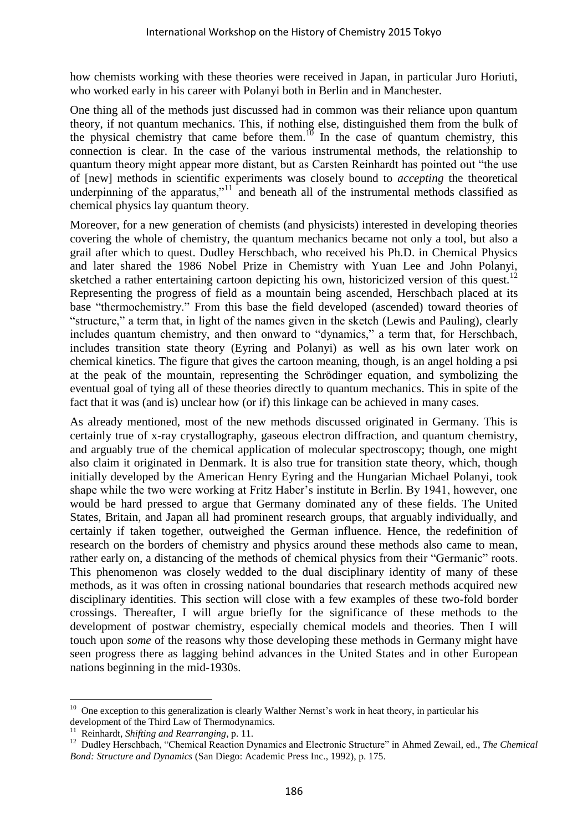how chemists working with these theories were received in Japan, in particular Juro Horiuti, who worked early in his career with Polanyi both in Berlin and in Manchester.

One thing all of the methods just discussed had in common was their reliance upon quantum theory, if not quantum mechanics. This, if nothing else, distinguished them from the bulk of the physical chemistry that came before them.<sup>10</sup> In the case of quantum chemistry, this connection is clear. In the case of the various instrumental methods, the relationship to quantum theory might appear more distant, but as Carsten Reinhardt has pointed out "the use of [new] methods in scientific experiments was closely bound to *accepting* the theoretical underpinning of the apparatus," $11$  and beneath all of the instrumental methods classified as chemical physics lay quantum theory.

Moreover, for a new generation of chemists (and physicists) interested in developing theories covering the whole of chemistry, the quantum mechanics became not only a tool, but also a grail after which to quest. Dudley Herschbach, who received his Ph.D. in Chemical Physics and later shared the 1986 Nobel Prize in Chemistry with Yuan Lee and John Polanyi, sketched a rather entertaining cartoon depicting his own, historicized version of this quest.<sup>12</sup> Representing the progress of field as a mountain being ascended, Herschbach placed at its base "thermochemistry." From this base the field developed (ascended) toward theories of "structure," a term that, in light of the names given in the sketch (Lewis and Pauling), clearly includes quantum chemistry, and then onward to "dynamics," a term that, for Herschbach, includes transition state theory (Eyring and Polanyi) as well as his own later work on chemical kinetics. The figure that gives the cartoon meaning, though, is an angel holding a psi at the peak of the mountain, representing the Schrödinger equation, and symbolizing the eventual goal of tying all of these theories directly to quantum mechanics. This in spite of the fact that it was (and is) unclear how (or if) this linkage can be achieved in many cases.

As already mentioned, most of the new methods discussed originated in Germany. This is certainly true of x-ray crystallography, gaseous electron diffraction, and quantum chemistry, and arguably true of the chemical application of molecular spectroscopy; though, one might also claim it originated in Denmark. It is also true for transition state theory, which, though initially developed by the American Henry Eyring and the Hungarian Michael Polanyi, took shape while the two were working at Fritz Haber's institute in Berlin. By 1941, however, one would be hard pressed to argue that Germany dominated any of these fields. The United States, Britain, and Japan all had prominent research groups, that arguably individually, and certainly if taken together, outweighed the German influence. Hence, the redefinition of research on the borders of chemistry and physics around these methods also came to mean, rather early on, a distancing of the methods of chemical physics from their "Germanic" roots. This phenomenon was closely wedded to the dual disciplinary identity of many of these methods, as it was often in crossing national boundaries that research methods acquired new disciplinary identities. This section will close with a few examples of these two-fold border crossings. Thereafter, I will argue briefly for the significance of these methods to the development of postwar chemistry, especially chemical models and theories. Then I will touch upon *some* of the reasons why those developing these methods in Germany might have seen progress there as lagging behind advances in the United States and in other European nations beginning in the mid-1930s.

<sup>&</sup>lt;sup>10</sup> One exception to this generalization is clearly Walther Nernst's work in heat theory, in particular his development of the Third Law of Thermodynamics.

<sup>11</sup> Reinhardt, *Shifting and Rearranging*, p. 11.

<sup>&</sup>lt;sup>12</sup> Dudley Herschbach, "Chemical Reaction Dynamics and Electronic Structure" in Ahmed Zewail, ed., *The Chemical Bond: Structure and Dynamics* (San Diego: Academic Press Inc., 1992), p. 175.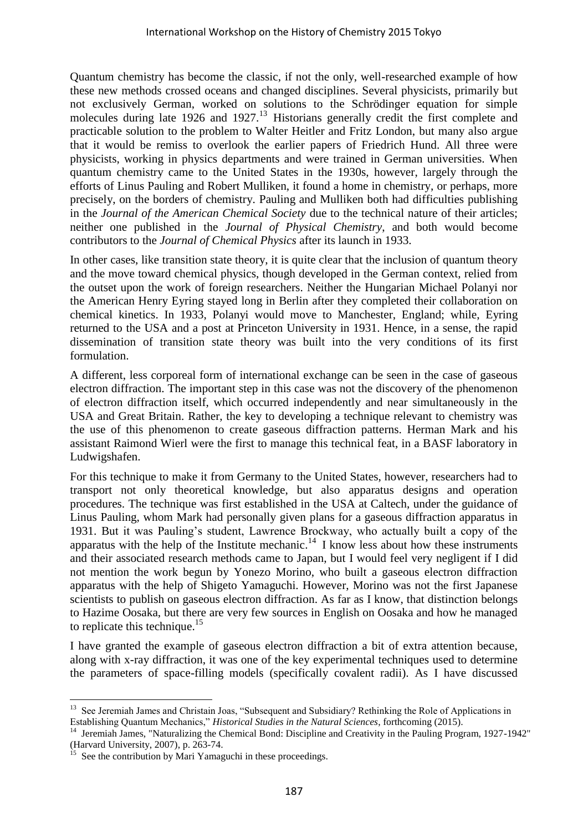Quantum chemistry has become the classic, if not the only, well-researched example of how these new methods crossed oceans and changed disciplines. Several physicists, primarily but not exclusively German, worked on solutions to the Schrödinger equation for simple molecules during late 1926 and 1927.<sup>13</sup> Historians generally credit the first complete and practicable solution to the problem to Walter Heitler and Fritz London, but many also argue that it would be remiss to overlook the earlier papers of Friedrich Hund. All three were physicists, working in physics departments and were trained in German universities. When quantum chemistry came to the United States in the 1930s, however, largely through the efforts of Linus Pauling and Robert Mulliken, it found a home in chemistry, or perhaps, more precisely, on the borders of chemistry. Pauling and Mulliken both had difficulties publishing in the *Journal of the American Chemical Society* due to the technical nature of their articles; neither one published in the *Journal of Physical Chemistry*, and both would become contributors to the *Journal of Chemical Physics* after its launch in 1933.

In other cases, like transition state theory, it is quite clear that the inclusion of quantum theory and the move toward chemical physics, though developed in the German context, relied from the outset upon the work of foreign researchers. Neither the Hungarian Michael Polanyi nor the American Henry Eyring stayed long in Berlin after they completed their collaboration on chemical kinetics. In 1933, Polanyi would move to Manchester, England; while, Eyring returned to the USA and a post at Princeton University in 1931. Hence, in a sense, the rapid dissemination of transition state theory was built into the very conditions of its first formulation.

A different, less corporeal form of international exchange can be seen in the case of gaseous electron diffraction. The important step in this case was not the discovery of the phenomenon of electron diffraction itself, which occurred independently and near simultaneously in the USA and Great Britain. Rather, the key to developing a technique relevant to chemistry was the use of this phenomenon to create gaseous diffraction patterns. Herman Mark and his assistant Raimond Wierl were the first to manage this technical feat, in a BASF laboratory in Ludwigshafen.

For this technique to make it from Germany to the United States, however, researchers had to transport not only theoretical knowledge, but also apparatus designs and operation procedures. The technique was first established in the USA at Caltech, under the guidance of Linus Pauling, whom Mark had personally given plans for a gaseous diffraction apparatus in 1931. But it was Pauling's student, Lawrence Brockway, who actually built a copy of the apparatus with the help of the Institute mechanic.<sup>14</sup> I know less about how these instruments and their associated research methods came to Japan, but I would feel very negligent if I did not mention the work begun by Yonezo Morino, who built a gaseous electron diffraction apparatus with the help of Shigeto Yamaguchi. However, Morino was not the first Japanese scientists to publish on gaseous electron diffraction. As far as I know, that distinction belongs to Hazime Oosaka, but there are very few sources in English on Oosaka and how he managed to replicate this technique.<sup>15</sup>

I have granted the example of gaseous electron diffraction a bit of extra attention because, along with x-ray diffraction, it was one of the key experimental techniques used to determine the parameters of space-filling models (specifically covalent radii). As I have discussed

<sup>&</sup>lt;sup>13</sup> See Jeremiah James and Christain Joas, "Subsequent and Subsidiary? Rethinking the Role of Applications in Establishing Quantum Mechanics," *Historical Studies in the Natural Sciences*, forthcoming (2015).

<sup>&</sup>lt;sup>14</sup> Jeremiah James, "Naturalizing the Chemical Bond: Discipline and Creativity in the Pauling Program, 1927-1942" (Harvard University, 2007), p. 263-74.

See the contribution by Mari Yamaguchi in these proceedings.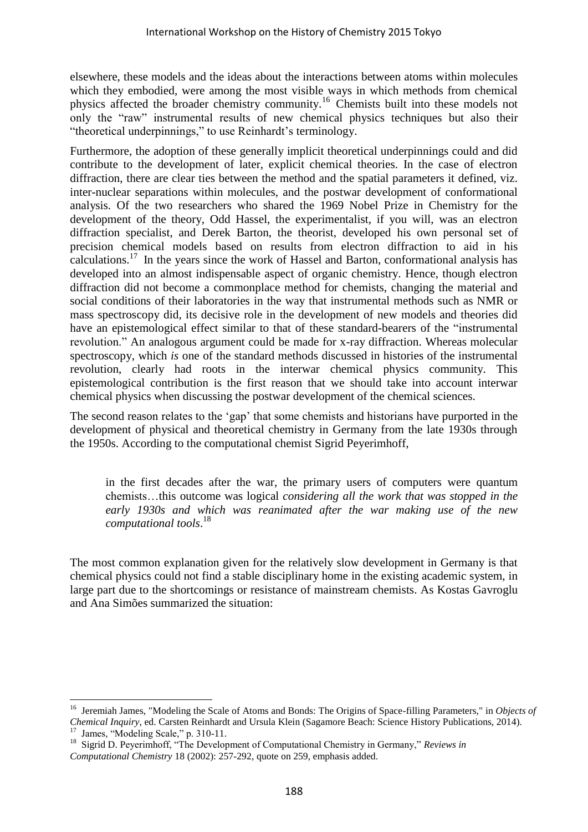elsewhere, these models and the ideas about the interactions between atoms within molecules which they embodied, were among the most visible ways in which methods from chemical physics affected the broader chemistry community.<sup>16</sup> Chemists built into these models not only the "raw" instrumental results of new chemical physics techniques but also their "theoretical underpinnings," to use Reinhardt's terminology.

Furthermore, the adoption of these generally implicit theoretical underpinnings could and did contribute to the development of later, explicit chemical theories. In the case of electron diffraction, there are clear ties between the method and the spatial parameters it defined, viz. inter-nuclear separations within molecules, and the postwar development of conformational analysis. Of the two researchers who shared the 1969 Nobel Prize in Chemistry for the development of the theory, Odd Hassel, the experimentalist, if you will, was an electron diffraction specialist, and Derek Barton, the theorist, developed his own personal set of precision chemical models based on results from electron diffraction to aid in his calculations.<sup>17</sup> In the years since the work of Hassel and Barton, conformational analysis has developed into an almost indispensable aspect of organic chemistry. Hence, though electron diffraction did not become a commonplace method for chemists, changing the material and social conditions of their laboratories in the way that instrumental methods such as NMR or mass spectroscopy did, its decisive role in the development of new models and theories did have an epistemological effect similar to that of these standard-bearers of the "instrumental revolution." An analogous argument could be made for x-ray diffraction. Whereas molecular spectroscopy, which *is* one of the standard methods discussed in histories of the instrumental revolution, clearly had roots in the interwar chemical physics community. This epistemological contribution is the first reason that we should take into account interwar chemical physics when discussing the postwar development of the chemical sciences.

The second reason relates to the 'gap' that some chemists and historians have purported in the development of physical and theoretical chemistry in Germany from the late 1930s through the 1950s. According to the computational chemist Sigrid Peyerimhoff,

in the first decades after the war, the primary users of computers were quantum chemists…this outcome was logical *considering all the work that was stopped in the early 1930s and which was reanimated after the war making use of the new computational tools*. 18

The most common explanation given for the relatively slow development in Germany is that chemical physics could not find a stable disciplinary home in the existing academic system, in large part due to the shortcomings or resistance of mainstream chemists. As Kostas Gavroglu and Ana Simões summarized the situation:

 <sup>16</sup> Jeremiah James, "Modeling the Scale of Atoms and Bonds: The Origins of Space-filling Parameters," in *Objects of Chemical Inquiry*, ed. Carsten Reinhardt and Ursula Klein (Sagamore Beach: Science History Publications, 2014). <sup>17</sup> James, "Modeling Scale," p. 310-11.

<sup>18</sup> Sigrid D. Peyerimhoff, "The Development of Computational Chemistry in Germany," *Reviews in Computational Chemistry* 18 (2002): 257-292, quote on 259, emphasis added.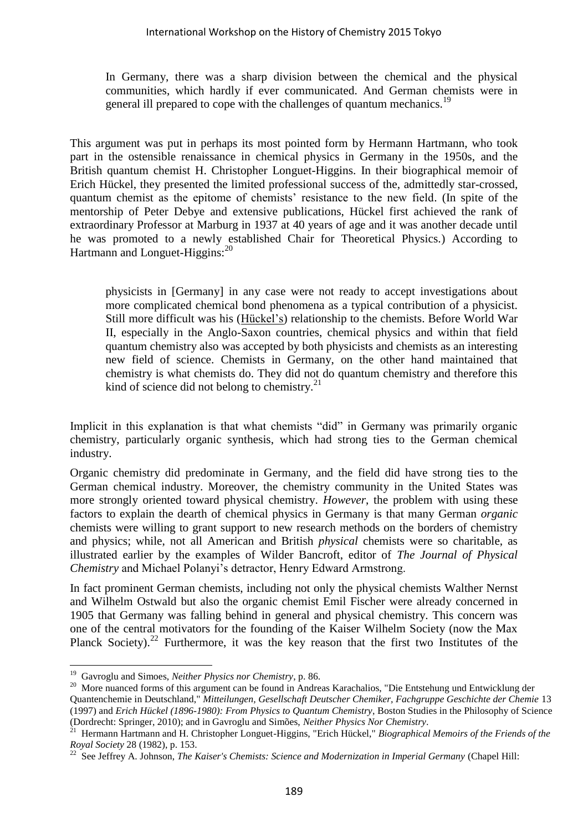In Germany, there was a sharp division between the chemical and the physical communities, which hardly if ever communicated. And German chemists were in general ill prepared to cope with the challenges of quantum mechanics.<sup>19</sup>

This argument was put in perhaps its most pointed form by Hermann Hartmann, who took part in the ostensible renaissance in chemical physics in Germany in the 1950s, and the British quantum chemist H. Christopher Longuet-Higgins. In their biographical memoir of Erich Hückel, they presented the limited professional success of the, admittedly star-crossed, quantum chemist as the epitome of chemists' resistance to the new field. (In spite of the mentorship of Peter Debye and extensive publications, Hückel first achieved the rank of extraordinary Professor at Marburg in 1937 at 40 years of age and it was another decade until he was promoted to a newly established Chair for Theoretical Physics.) According to Hartmann and Longuet-Higgins:<sup>20</sup>

physicists in [Germany] in any case were not ready to accept investigations about more complicated chemical bond phenomena as a typical contribution of a physicist. Still more difficult was his (Hückel's) relationship to the chemists. Before World War II, especially in the Anglo-Saxon countries, chemical physics and within that field quantum chemistry also was accepted by both physicists and chemists as an interesting new field of science. Chemists in Germany, on the other hand maintained that chemistry is what chemists do. They did not do quantum chemistry and therefore this kind of science did not belong to chemistry.<sup>21</sup>

Implicit in this explanation is that what chemists "did" in Germany was primarily organic chemistry, particularly organic synthesis, which had strong ties to the German chemical industry.

Organic chemistry did predominate in Germany, and the field did have strong ties to the German chemical industry. Moreover, the chemistry community in the United States was more strongly oriented toward physical chemistry. *However*, the problem with using these factors to explain the dearth of chemical physics in Germany is that many German *organic* chemists were willing to grant support to new research methods on the borders of chemistry and physics; while, not all American and British *physical* chemists were so charitable, as illustrated earlier by the examples of Wilder Bancroft, editor of *The Journal of Physical Chemistry* and Michael Polanyi's detractor, Henry Edward Armstrong.

In fact prominent German chemists, including not only the physical chemists Walther Nernst and Wilhelm Ostwald but also the organic chemist Emil Fischer were already concerned in 1905 that Germany was falling behind in general and physical chemistry. This concern was one of the central motivators for the founding of the Kaiser Wilhelm Society (now the Max Planck Society).<sup>22</sup> Furthermore, it was the key reason that the first two Institutes of the

<sup>19</sup> Gavroglu and Simoes, *Neither Physics nor Chemistry*, p. 86.

<sup>&</sup>lt;sup>20</sup> More nuanced forms of this argument can be found in Andreas Karachalios, "Die Entstehung und Entwicklung der Quantenchemie in Deutschland," *Mitteilungen, Gesellschaft Deutscher Chemiker, Fachgruppe Geschichte der Chemie* 13 (1997) and *Erich Hückel (1896-1980): From Physics to Quantum Chemistry*, Boston Studies in the Philosophy of Science (Dordrecht: Springer, 2010); and in Gavroglu and Simões, *Neither Physics Nor Chemistry*.

<sup>21</sup> Hermann Hartmann and H. Christopher Longuet-Higgins, "Erich Hückel," *Biographical Memoirs of the Friends of the Royal Society* 28 (1982), p. 153.

<sup>&</sup>lt;sup>22</sup> See Jeffrey A. Johnson, *The Kaiser's Chemists: Science and Modernization in Imperial Germany* (Chapel Hill: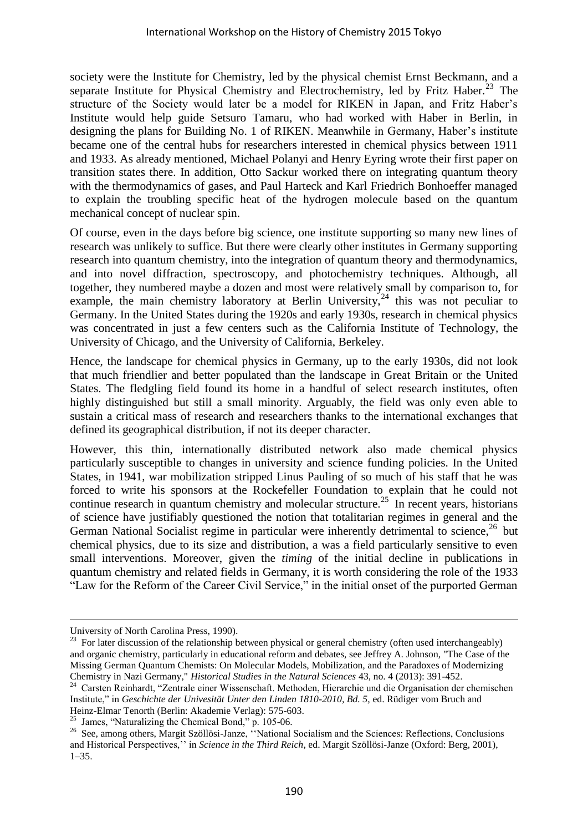society were the Institute for Chemistry, led by the physical chemist Ernst Beckmann, and a separate Institute for Physical Chemistry and Electrochemistry, led by Fritz Haber.<sup>23</sup> The structure of the Society would later be a model for RIKEN in Japan, and Fritz Haber's Institute would help guide Setsuro Tamaru, who had worked with Haber in Berlin, in designing the plans for Building No. 1 of RIKEN. Meanwhile in Germany, Haber's institute became one of the central hubs for researchers interested in chemical physics between 1911 and 1933. As already mentioned, Michael Polanyi and Henry Eyring wrote their first paper on transition states there. In addition, Otto Sackur worked there on integrating quantum theory with the thermodynamics of gases, and Paul Harteck and Karl Friedrich Bonhoeffer managed to explain the troubling specific heat of the hydrogen molecule based on the quantum mechanical concept of nuclear spin.

Of course, even in the days before big science, one institute supporting so many new lines of research was unlikely to suffice. But there were clearly other institutes in Germany supporting research into quantum chemistry, into the integration of quantum theory and thermodynamics, and into novel diffraction, spectroscopy, and photochemistry techniques. Although, all together, they numbered maybe a dozen and most were relatively small by comparison to, for example, the main chemistry laboratory at Berlin University,  $24$  this was not peculiar to Germany. In the United States during the 1920s and early 1930s, research in chemical physics was concentrated in just a few centers such as the California Institute of Technology, the University of Chicago, and the University of California, Berkeley.

Hence, the landscape for chemical physics in Germany, up to the early 1930s, did not look that much friendlier and better populated than the landscape in Great Britain or the United States. The fledgling field found its home in a handful of select research institutes, often highly distinguished but still a small minority. Arguably, the field was only even able to sustain a critical mass of research and researchers thanks to the international exchanges that defined its geographical distribution, if not its deeper character.

However, this thin, internationally distributed network also made chemical physics particularly susceptible to changes in university and science funding policies. In the United States, in 1941, war mobilization stripped Linus Pauling of so much of his staff that he was forced to write his sponsors at the Rockefeller Foundation to explain that he could not continue research in quantum chemistry and molecular structure.<sup>25</sup> In recent years, historians of science have justifiably questioned the notion that totalitarian regimes in general and the German National Socialist regime in particular were inherently detrimental to science,<sup>26</sup> but chemical physics, due to its size and distribution, a was a field particularly sensitive to even small interventions. Moreover, given the *timing* of the initial decline in publications in quantum chemistry and related fields in Germany, it is worth considering the role of the 1933 "Law for the Reform of the Career Civil Service," in the initial onset of the purported German

University of North Carolina Press, 1990).

 $^{23}$  For later discussion of the relationship between physical or general chemistry (often used interchangeably) and organic chemistry, particularly in educational reform and debates, see Jeffrey A. Johnson, "The Case of the Missing German Quantum Chemists: On Molecular Models, Mobilization, and the Paradoxes of Modernizing Chemistry in Nazi Germany," *Historical Studies in the Natural Sciences* 43, no. 4 (2013): 391-452.

<sup>&</sup>lt;sup>24</sup> Carsten Reinhardt, "Zentrale einer Wissenschaft. Methoden, Hierarchie und die Organisation der chemischen Institute," in *Geschichte der Univesität Unter den Linden 1810-2010, Bd. 5,* ed. Rüdiger vom Bruch and Heinz-Elmar Tenorth (Berlin: Akademie Verlag): 575-603.

<sup>25</sup> James, "Naturalizing the Chemical Bond," p. 105-06.

<sup>&</sup>lt;sup>26</sup> See, among others, Margit Szöllösi-Janze, "National Socialism and the Sciences: Reflections, Conclusions and Historical Perspectives,'' in *Science in the Third Reich*, ed. Margit Szöllösi-Janze (Oxford: Berg, 2001), 1–35.